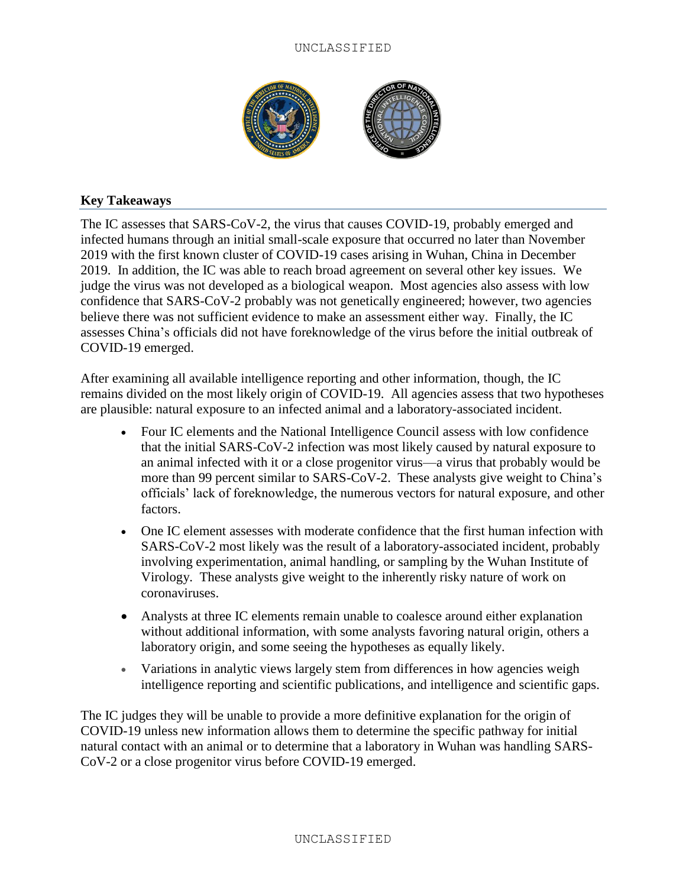## UNCLASSIFIED



## **Key Takeaways**

The IC assesses that SARS-CoV-2, the virus that causes COVID-19, probably emerged and infected humans through an initial small-scale exposure that occurred no later than November 2019 with the first known cluster of COVID-19 cases arising in Wuhan, China in December 2019. In addition, the IC was able to reach broad agreement on several other key issues. We judge the virus was not developed as a biological weapon. Most agencies also assess with low confidence that SARS-CoV-2 probably was not genetically engineered; however, two agencies believe there was not sufficient evidence to make an assessment either way. Finally, the IC assesses China's officials did not have foreknowledge of the virus before the initial outbreak of COVID-19 emerged.

After examining all available intelligence reporting and other information, though, the IC remains divided on the most likely origin of COVID-19. All agencies assess that two hypotheses are plausible: natural exposure to an infected animal and a laboratory-associated incident.

- Four IC elements and the National Intelligence Council assess with low confidence that the initial SARS-CoV-2 infection was most likely caused by natural exposure to an animal infected with it or a close progenitor virus—a virus that probably would be more than 99 percent similar to SARS-CoV-2. These analysts give weight to China's officials' lack of foreknowledge, the numerous vectors for natural exposure, and other factors.
- One IC element assesses with moderate confidence that the first human infection with SARS-CoV-2 most likely was the result of a laboratory-associated incident, probably involving experimentation, animal handling, or sampling by the Wuhan Institute of Virology. These analysts give weight to the inherently risky nature of work on coronaviruses.
- Analysts at three IC elements remain unable to coalesce around either explanation without additional information, with some analysts favoring natural origin, others a laboratory origin, and some seeing the hypotheses as equally likely.
- Variations in analytic views largely stem from differences in how agencies weigh intelligence reporting and scientific publications, and intelligence and scientific gaps.

The IC judges they will be unable to provide a more definitive explanation for the origin of COVID-19 unless new information allows them to determine the specific pathway for initial natural contact with an animal or to determine that a laboratory in Wuhan was handling SARS-CoV-2 or a close progenitor virus before COVID-19 emerged.